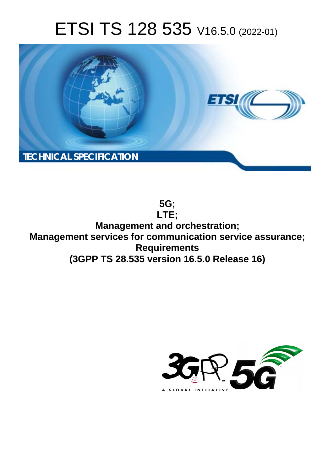# ETSI TS 128 535 V16.5.0 (2022-01)



**5G; LTE; Management and orchestration; Management services for communication service assurance; Requirements (3GPP TS 28.535 version 16.5.0 Release 16)** 

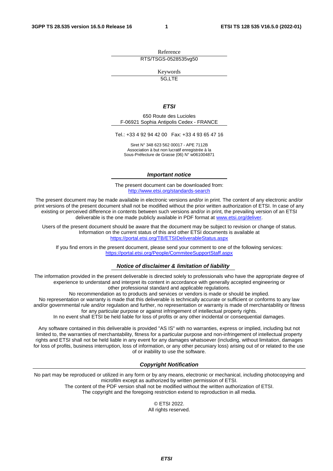Reference RTS/TSGS-0528535vg50

Keywords

5G,LTE

#### *ETSI*

650 Route des Lucioles F-06921 Sophia Antipolis Cedex - FRANCE

Tel.: +33 4 92 94 42 00 Fax: +33 4 93 65 47 16

Siret N° 348 623 562 00017 - APE 7112B Association à but non lucratif enregistrée à la Sous-Préfecture de Grasse (06) N° w061004871

#### *Important notice*

The present document can be downloaded from: <http://www.etsi.org/standards-search>

The present document may be made available in electronic versions and/or in print. The content of any electronic and/or print versions of the present document shall not be modified without the prior written authorization of ETSI. In case of any existing or perceived difference in contents between such versions and/or in print, the prevailing version of an ETSI deliverable is the one made publicly available in PDF format at [www.etsi.org/deliver](http://www.etsi.org/deliver).

Users of the present document should be aware that the document may be subject to revision or change of status. Information on the current status of this and other ETSI documents is available at <https://portal.etsi.org/TB/ETSIDeliverableStatus.aspx>

If you find errors in the present document, please send your comment to one of the following services: <https://portal.etsi.org/People/CommiteeSupportStaff.aspx>

#### *Notice of disclaimer & limitation of liability*

The information provided in the present deliverable is directed solely to professionals who have the appropriate degree of experience to understand and interpret its content in accordance with generally accepted engineering or other professional standard and applicable regulations.

No recommendation as to products and services or vendors is made or should be implied.

No representation or warranty is made that this deliverable is technically accurate or sufficient or conforms to any law and/or governmental rule and/or regulation and further, no representation or warranty is made of merchantability or fitness for any particular purpose or against infringement of intellectual property rights.

In no event shall ETSI be held liable for loss of profits or any other incidental or consequential damages.

Any software contained in this deliverable is provided "AS IS" with no warranties, express or implied, including but not limited to, the warranties of merchantability, fitness for a particular purpose and non-infringement of intellectual property rights and ETSI shall not be held liable in any event for any damages whatsoever (including, without limitation, damages for loss of profits, business interruption, loss of information, or any other pecuniary loss) arising out of or related to the use of or inability to use the software.

#### *Copyright Notification*

No part may be reproduced or utilized in any form or by any means, electronic or mechanical, including photocopying and microfilm except as authorized by written permission of ETSI. The content of the PDF version shall not be modified without the written authorization of ETSI.

The copyright and the foregoing restriction extend to reproduction in all media.

© ETSI 2022. All rights reserved.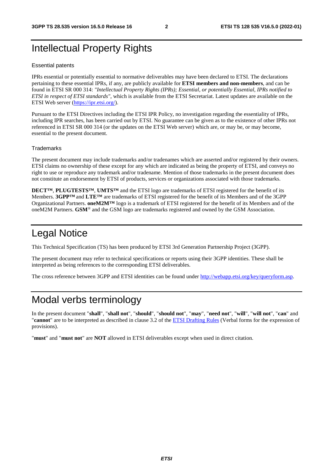# Intellectual Property Rights

#### Essential patents

IPRs essential or potentially essential to normative deliverables may have been declared to ETSI. The declarations pertaining to these essential IPRs, if any, are publicly available for **ETSI members and non-members**, and can be found in ETSI SR 000 314: *"Intellectual Property Rights (IPRs); Essential, or potentially Essential, IPRs notified to ETSI in respect of ETSI standards"*, which is available from the ETSI Secretariat. Latest updates are available on the ETSI Web server ([https://ipr.etsi.org/\)](https://ipr.etsi.org/).

Pursuant to the ETSI Directives including the ETSI IPR Policy, no investigation regarding the essentiality of IPRs, including IPR searches, has been carried out by ETSI. No guarantee can be given as to the existence of other IPRs not referenced in ETSI SR 000 314 (or the updates on the ETSI Web server) which are, or may be, or may become, essential to the present document.

#### **Trademarks**

The present document may include trademarks and/or tradenames which are asserted and/or registered by their owners. ETSI claims no ownership of these except for any which are indicated as being the property of ETSI, and conveys no right to use or reproduce any trademark and/or tradename. Mention of those trademarks in the present document does not constitute an endorsement by ETSI of products, services or organizations associated with those trademarks.

**DECT™**, **PLUGTESTS™**, **UMTS™** and the ETSI logo are trademarks of ETSI registered for the benefit of its Members. **3GPP™** and **LTE™** are trademarks of ETSI registered for the benefit of its Members and of the 3GPP Organizational Partners. **oneM2M™** logo is a trademark of ETSI registered for the benefit of its Members and of the oneM2M Partners. **GSM**® and the GSM logo are trademarks registered and owned by the GSM Association.

# Legal Notice

This Technical Specification (TS) has been produced by ETSI 3rd Generation Partnership Project (3GPP).

The present document may refer to technical specifications or reports using their 3GPP identities. These shall be interpreted as being references to the corresponding ETSI deliverables.

The cross reference between 3GPP and ETSI identities can be found under<http://webapp.etsi.org/key/queryform.asp>.

# Modal verbs terminology

In the present document "**shall**", "**shall not**", "**should**", "**should not**", "**may**", "**need not**", "**will**", "**will not**", "**can**" and "**cannot**" are to be interpreted as described in clause 3.2 of the [ETSI Drafting Rules](https://portal.etsi.org/Services/editHelp!/Howtostart/ETSIDraftingRules.aspx) (Verbal forms for the expression of provisions).

"**must**" and "**must not**" are **NOT** allowed in ETSI deliverables except when used in direct citation.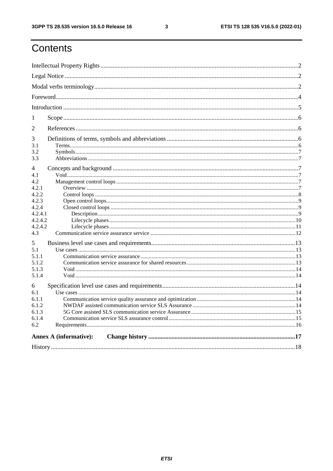ETSI TS 128 535 V16.5.0 (2022-01)

# Contents

| 1                             |  |
|-------------------------------|--|
| 2                             |  |
| 3                             |  |
| 3.1                           |  |
| 3.2                           |  |
| 3.3                           |  |
| 4                             |  |
| 4.1                           |  |
| 4.2                           |  |
| 4.2.1                         |  |
| 4.2.2                         |  |
| 4.2.3                         |  |
| 4.2.4                         |  |
| 4.2.4.1                       |  |
| 4.2.4.2                       |  |
| 4.2.4.2                       |  |
| 4.3                           |  |
| 5                             |  |
| 5.1                           |  |
| 5.1.1                         |  |
| 5.1.2                         |  |
| 5.1.3                         |  |
| 5.1.4                         |  |
| 6                             |  |
| 6.1                           |  |
| 6.1.1                         |  |
| 6.1.2                         |  |
| 6.1.3                         |  |
| 6.1.4                         |  |
| 6.2                           |  |
| <b>Annex A (informative):</b> |  |
|                               |  |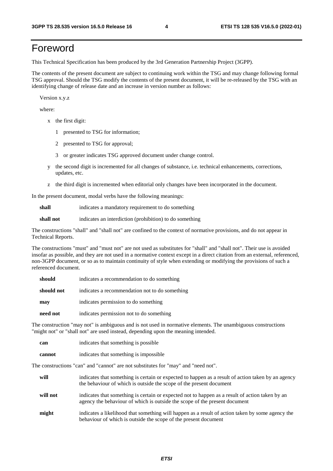# Foreword

This Technical Specification has been produced by the 3rd Generation Partnership Project (3GPP).

The contents of the present document are subject to continuing work within the TSG and may change following formal TSG approval. Should the TSG modify the contents of the present document, it will be re-released by the TSG with an identifying change of release date and an increase in version number as follows:

Version x.y.z

where:

- x the first digit:
	- 1 presented to TSG for information;
	- 2 presented to TSG for approval;
	- 3 or greater indicates TSG approved document under change control.
- y the second digit is incremented for all changes of substance, i.e. technical enhancements, corrections, updates, etc.
- z the third digit is incremented when editorial only changes have been incorporated in the document.

In the present document, modal verbs have the following meanings:

**shall** indicates a mandatory requirement to do something

**shall not** indicates an interdiction (prohibition) to do something

The constructions "shall" and "shall not" are confined to the context of normative provisions, and do not appear in Technical Reports.

The constructions "must" and "must not" are not used as substitutes for "shall" and "shall not". Their use is avoided insofar as possible, and they are not used in a normative context except in a direct citation from an external, referenced, non-3GPP document, or so as to maintain continuity of style when extending or modifying the provisions of such a referenced document.

| should     | indicates a recommendation to do something     |
|------------|------------------------------------------------|
| should not | indicates a recommendation not to do something |
| may        | indicates permission to do something           |
| need not   | indicates permission not to do something       |

The construction "may not" is ambiguous and is not used in normative elements. The unambiguous constructions "might not" or "shall not" are used instead, depending upon the meaning intended.

| can    | indicates that something is possible   |
|--------|----------------------------------------|
| cannot | indicates that something is impossible |

The constructions "can" and "cannot" are not substitutes for "may" and "need not".

| will     | indicates that something is certain or expected to happen as a result of action taken by an agency<br>the behaviour of which is outside the scope of the present document     |
|----------|-------------------------------------------------------------------------------------------------------------------------------------------------------------------------------|
| will not | indicates that something is certain or expected not to happen as a result of action taken by an<br>agency the behaviour of which is outside the scope of the present document |
| might    | indicates a likelihood that something will happen as a result of action taken by some agency the<br>behaviour of which is outside the scope of the present document           |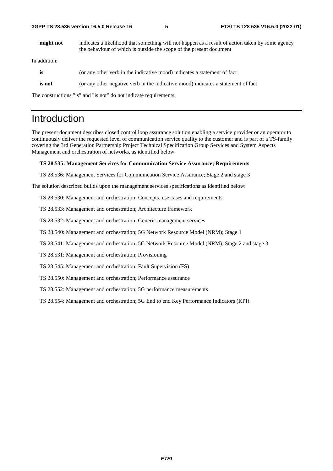**might not** indicates a likelihood that something will not happen as a result of action taken by some agency the behaviour of which is outside the scope of the present document

In addition:

| is     | (or any other verb in the indicative mood) indicates a statement of fact          |
|--------|-----------------------------------------------------------------------------------|
| is not | (or any other negative verb in the indicative mood) indicates a statement of fact |

The constructions "is" and "is not" do not indicate requirements.

# Introduction

The present document describes closed control loop assurance solution enabling a service provider or an operator to continuously deliver the requested level of communication service quality to the customer and is part of a TS-family covering the 3rd Generation Partnership Project Technical Specification Group Services and System Aspects Management and orchestration of networks, as identified below:

#### **TS 28.535: Management Services for Communication Service Assurance; Requirements**

TS 28.536: Management Services for Communication Service Assurance; Stage 2 and stage 3

The solution described builds upon the management services specifications as identified below:

TS 28.530: Management and orchestration; Concepts, use cases and requirements

TS 28.533: Management and orchestration; Architecture framework

TS 28.532: Management and orchestration; Generic management services

TS 28.540: Management and orchestration; 5G Network Resource Model (NRM); Stage 1

TS 28.541: Management and orchestration; 5G Network Resource Model (NRM); Stage 2 and stage 3

TS 28.531: Management and orchestration; Provisioning

TS 28.545: Management and orchestration; Fault Supervision (FS)

TS 28.550: Management and orchestration; Performance assurance

TS 28.552: Management and orchestration; 5G performance measurements

TS 28.554: Management and orchestration; 5G End to end Key Performance Indicators (KPI)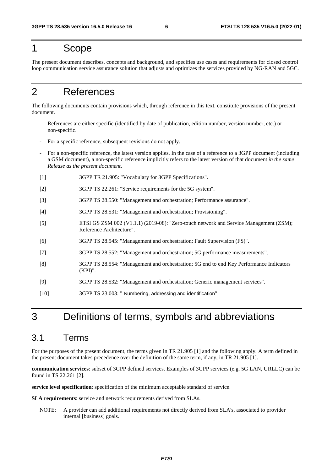# 1 Scope

The present document describes, concepts and background, and specifies use cases and requirements for closed control loop communication service assurance solution that adjusts and optimizes the services provided by NG-RAN and 5GC.

# 2 References

The following documents contain provisions which, through reference in this text, constitute provisions of the present document.

- References are either specific (identified by date of publication, edition number, version number, etc.) or non-specific.
- For a specific reference, subsequent revisions do not apply.
- For a non-specific reference, the latest version applies. In the case of a reference to a 3GPP document (including a GSM document), a non-specific reference implicitly refers to the latest version of that document *in the same Release as the present document*.
- [1] 3GPP TR 21.905: "Vocabulary for 3GPP Specifications".
- [2] 3GPP TS 22.261: "Service requirements for the 5G system".
- [3] 3GPP TS 28.550: "Management and orchestration; Performance assurance".
- [4] 3GPP TS 28.531: "Management and orchestration; Provisioning".
- [5] ETSI GS ZSM 002 (V1.1.1) (2019-08): "Zero-touch network and Service Management (ZSM); Reference Architecture".
- [6] 3GPP TS 28.545: "Management and orchestration; Fault Supervision (FS)".
- [7] 3GPP TS 28.552: "Management and orchestration; 5G performance measurements".
- [8] 3GPP TS 28.554: "Management and orchestration; 5G end to end Key Performance Indicators (KPI)".
- [9] 3GPP TS 28.532: "Management and orchestration; Generic management services".
- [10] 3GPP TS 23.003: " Numbering, addressing and identification".

# 3 Definitions of terms, symbols and abbreviations

### 3.1 Terms

For the purposes of the present document, the terms given in TR 21.905 [1] and the following apply. A term defined in the present document takes precedence over the definition of the same term, if any, in TR 21.905 [1].

**communication services**: subset of 3GPP defined services. Examples of 3GPP services (e.g. 5G LAN, URLLC) can be found in TS 22.261 [2].

**service level specification**: specification of the minimum acceptable standard of service.

**SLA requirements**: service and network requirements derived from SLAs.

NOTE: A provider can add additional requirements not directly derived from SLA's, associated to provider internal [business] goals.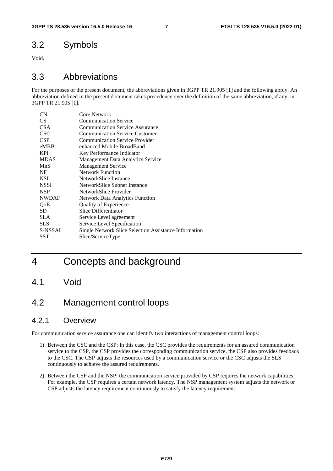# 3.2 Symbols

Void.

### 3.3 Abbreviations

For the purposes of the present document, the abbreviations given in 3GPP TR 21.905 [1] and the following apply. An abbreviation defined in the present document takes precedence over the definition of the same abbreviation, if any, in 3GPP TR 21.905 [1].

| CN           | Core Network                                          |
|--------------|-------------------------------------------------------|
| CS.          | <b>Communication Service</b>                          |
| CSA          | <b>Communication Service Assurance</b>                |
| <b>CSC</b>   | <b>Communication Service Customer</b>                 |
| <b>CSP</b>   | <b>Communication Service Provider</b>                 |
| eMBB         | enhanced Mobile BroadBand                             |
| <b>KPI</b>   | Key Performance Indicator                             |
| <b>MDAS</b>  | <b>Management Data Analytics Service</b>              |
| MnS          | <b>Management Service</b>                             |
| NF           | Network Function                                      |
| <b>NSI</b>   | NetworkSlice Instance                                 |
| <b>NSSI</b>  | NetworkSlice Subnet Instance                          |
| <b>NSP</b>   | NetworkSlice Provider                                 |
| <b>NWDAF</b> | <b>Network Data Analytics Function</b>                |
| QoE          | <b>Quality of Experience</b>                          |
| SD           | Slice Differentiator                                  |
| SLA.         | Service Level agreement                               |
| <b>SLS</b>   | Service Level Specification                           |
| S-NSSAI      | Single Network Slice Selection Assistance Information |
| SST          | Slice/ServiceType                                     |
|              |                                                       |

- 4 Concepts and background
- 4.1 Void

# 4.2 Management control loops

### 4.2.1 Overview

For communication service assurance one can identify two interactions of management control loops:

- 1) Between the CSC and the CSP: In this case, the CSC provides the requirements for an assured communication service to the CSP, the CSP provides the corresponding communication service, the CSP also provides feedback to the CSC. The CSP adjusts the resources used by a communication service or the CSC adjusts the SLS continuously to achieve the assured requirements.
- 2) Between the CSP and the NSP: the communication service provided by CSP requires the network capabilities. For example, the CSP requires a certain network latency. The NSP management system adjusts the network or CSP adjusts the latency requirement continuously to satisfy the latency requirement.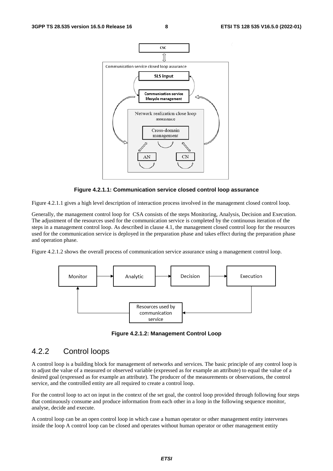

#### **Figure 4.2.1.1: Communication service closed control loop assurance**

Figure 4.2.1.1 gives a high level description of interaction process involved in the management closed control loop.

Generally, the management control loop for CSA consists of the steps Monitoring, Analysis, Decision and Execution. The adjustment of the resources used for the communication service is completed by the continuous iteration of the steps in a management control loop. As described in clause 4.1, the management closed control loop for the resources used for the communication service is deployed in the preparation phase and takes effect during the preparation phase and operation phase.

Figure 4.2.1.2 shows the overall process of communication service assurance using a management control loop.



**Figure 4.2.1.2: Management Control Loop** 

### 4.2.2 Control loops

A control loop is a building block for management of networks and services. The basic principle of any control loop is to adjust the value of a measured or observed variable (expressed as for example an attribute) to equal the value of a desired goal (expressed as for example an attribute). The producer of the measurements or observations, the control service, and the controlled entity are all required to create a control loop.

For the control loop to act on input in the context of the set goal, the control loop provided through following four steps that continuously consume and produce information from each other in a loop in the following sequence monitor, analyse, decide and execute.

A control loop can be an open control loop in which case a human operator or other management entity intervenes inside the loop A control loop can be closed and operates without human operator or other management entity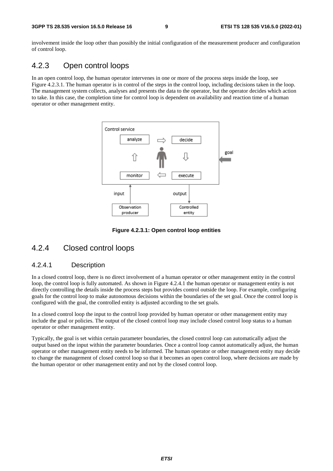involvement inside the loop other than possibly the initial configuration of the measurement producer and configuration of control loop.

### 4.2.3 Open control loops

In an open control loop, the human operator intervenes in one or more of the process steps inside the loop, see Figure 4.2.3.1. The human operator is in control of the steps in the control loop, including decisions taken in the loop. The management system collects, analyses and presents the data to the operator, but the operator decides which action to take. In this case, the completion time for control loop is dependent on availability and reaction time of a human operator or other management entity.



**Figure 4.2.3.1: Open control loop entities** 

### 4.2.4 Closed control loops

### 4.2.4.1 Description

In a closed control loop, there is no direct involvement of a human operator or other management entity in the control loop, the control loop is fully automated. As shown in Figure 4.2.4.1 the human operator or management entity is not directly controlling the details inside the process steps but provides control outside the loop. For example, configuring goals for the control loop to make autonomous decisions within the boundaries of the set goal. Once the control loop is configured with the goal, the controlled entity is adjusted according to the set goals.

In a closed control loop the input to the control loop provided by human operator or other management entity may include the goal or policies. The output of the closed control loop may include closed control loop status to a human operator or other management entity.

Typically, the goal is set within certain parameter boundaries, the closed control loop can automatically adjust the output based on the input within the parameter boundaries. Once a control loop cannot automatically adjust, the human operator or other management entity needs to be informed. The human operator or other management entity may decide to change the management of closed control loop so that it becomes an open control loop, where decisions are made by the human operator or other management entity and not by the closed control loop.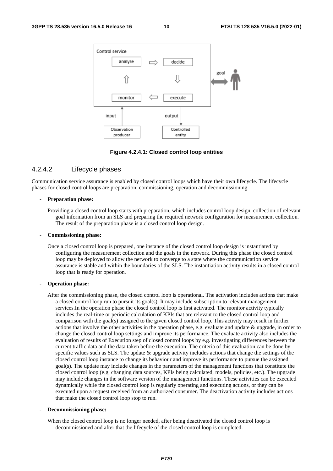

**Figure 4.2.4.1: Closed control loop entities** 

### 4.2.4.2 Lifecycle phases

Communication service assurance is enabled by closed control loops which have their own lifecycle. The lifecycle phases for closed control loops are preparation, commissioning, operation and decommissioning.

#### - **Preparation phase:**

Providing a closed control loop starts with preparation, which includes control loop design, collection of relevant goal information from an SLS and preparing the required network configuration for measurement collection. The result of the preparation phase is a closed control loop design.

#### - **Commissioning phase:**

Once a closed control loop is prepared, one instance of the closed control loop design is instantiated by configuring the measurement collection and the goals in the network. During this phase the closed control loop may be deployed to allow the network to converge to a state where the communication service assurance is stable and within the boundaries of the SLS. The instantiation activity results in a closed control loop that is ready for operation.

#### - **Operation phase:**

After the commissioning phase, the closed control loop is operational. The activation includes actions that make a closed control loop run to pursuit its goal(s). It may include subscription to relevant management services.In the operation phase the closed control loop is first activated. The monitor activity typically includes the real-time or periodic calculation of KPIs that are relevant to the closed control loop and comparison with the goal(s) assigned to the given closed control loop. This activity may result in further actions that involve the other activities in the operation phase, e.g. evaluate and update & upgrade, in order to change the closed control loop settings and improve its performance. The evaluate activity also includes the evaluation of results of Execution step of closed control loops by e.g. investigating differences between the current traffic data and the data taken before the execution. The criteria of this evaluation can be done by specific values such as SLS. The update & upgrade activity includes actions that change the settings of the closed control loop instance to change its behaviour and improve its performance to pursue the assigned goal(s). The update may include changes in the parameters of the management functions that constitute the closed control loop (e.g. changing data sources, KPIs being calculated, models, policies, etc.). The upgrade may include changes in the software version of the management functions. These activities can be executed dynamically while the closed control loop is regularly operating and executing actions, or they can be executed upon a request received from an authorized consumer. The deactivation activity includes actions that make the closed control loop stop to run.

#### - **Decommissioning phase:**

When the closed control loop is no longer needed, after being deactivated the closed control loop is decommissioned and after that the lifecycle of the closed control loop is completed.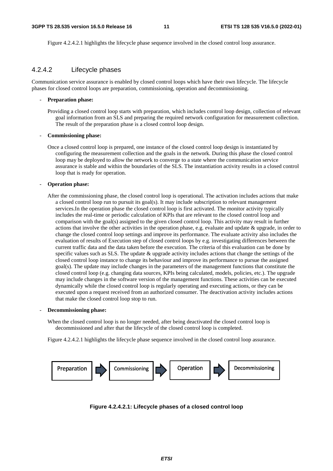Figure 4.2.4.2.1 highlights the lifecycle phase sequence involved in the closed control loop assurance.

#### 4.2.4.2 Lifecycle phases

Communication service assurance is enabled by closed control loops which have their own lifecycle. The lifecycle phases for closed control loops are preparation, commissioning, operation and decommissioning.

#### - **Preparation phase:**

Providing a closed control loop starts with preparation, which includes control loop design, collection of relevant goal information from an SLS and preparing the required network configuration for measurement collection. The result of the preparation phase is a closed control loop design.

#### - **Commissioning phase:**

Once a closed control loop is prepared, one instance of the closed control loop design is instantiated by configuring the measurement collection and the goals in the network. During this phase the closed control loop may be deployed to allow the network to converge to a state where the communication service assurance is stable and within the boundaries of the SLS. The instantiation activity results in a closed control loop that is ready for operation.

#### - **Operation phase:**

After the commissioning phase, the closed control loop is operational. The activation includes actions that make a closed control loop run to pursuit its goal(s). It may include subscription to relevant management services.In the operation phase the closed control loop is first activated. The monitor activity typically includes the real-time or periodic calculation of KPIs that are relevant to the closed control loop and comparison with the goal(s) assigned to the given closed control loop. This activity may result in further actions that involve the other activities in the operation phase, e.g. evaluate and update & upgrade, in order to change the closed control loop settings and improve its performance. The evaluate activity also includes the evaluation of results of Execution step of closed control loops by e.g. investigating differences between the current traffic data and the data taken before the execution. The criteria of this evaluation can be done by specific values such as SLS. The update  $\&$  upgrade activity includes actions that change the settings of the closed control loop instance to change its behaviour and improve its performance to pursue the assigned goal(s). The update may include changes in the parameters of the management functions that constitute the closed control loop (e.g. changing data sources, KPIs being calculated, models, policies, etc.). The upgrade may include changes in the software version of the management functions. These activities can be executed dynamically while the closed control loop is regularly operating and executing actions, or they can be executed upon a request received from an authorized consumer. The deactivation activity includes actions that make the closed control loop stop to run.

#### - **Decommissioning phase:**

When the closed control loop is no longer needed, after being deactivated the closed control loop is decommissioned and after that the lifecycle of the closed control loop is completed.

Figure 4.2.4.2.1 highlights the lifecycle phase sequence involved in the closed control loop assurance.



**Figure 4.2.4.2.1: Lifecycle phases of a closed control loop**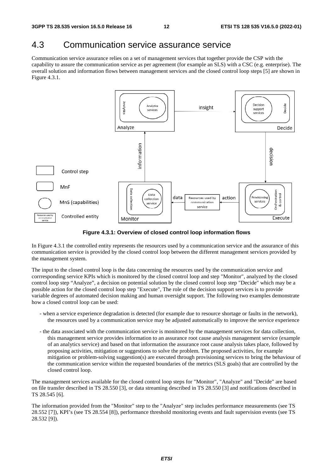## 4.3 Communication service assurance service

Communication service assurance relies on a set of management services that together provide the CSP with the capability to assure the communication service as per agreement (for example an SLS) with a CSC (e.g. enterprise). The overall solution and information flows between management services and the closed control loop steps [5] are shown in Figure 4.3.1.



**Figure 4.3.1: Overview of closed control loop information flows** 

In Figure 4.3.1 the controlled entity represents the resources used by a communication service and the assurance of this communication service is provided by the closed control loop between the different management services provided by the management system.

The input to the closed control loop is the data concerning the resources used by the communication service and corrresponding service KPIs which is monitored by the closed control loop and step "Monitor", analyzed by the closed control loop step "Analyze", a decision on potential solution by the closed control loop step "Decide" which may be a possible action for the closed control loop step "Execute", The role of the decision support services is to provide variable degrees of automated decision making and human oversight support. The following two examples demonstrate how a closed control loop can be used:

- when a service experience degradation is detected (for example due to resource shortage or faults in the network), the resources used by a communication service may be adjusted automatically to improve the service experience
- the data associated with the communication service is monitored by the management services for data collection, this management service provides information to an assurance root cause analysis management service (example of an analytics service) and based on that information the assurance root cause analysis takes place, followed by proposing activities, mitigation or suggestions to solve the problem. The proposed activities, for example mitigation or problem-solving suggestion(s) are executed through provisioning services to bring the behaviour of the communication service within the requested boundaries of the metrics (SLS goals) that are controlled by the closed control loop.

The management services available for the closed control loop steps for "Monitor", "Analyze" and "Decide" are based on file transfer described in TS 28.550 [3], or data streaming described in TS 28.550 [3] and notifications described in TS 28.545 [6].

The information provided from the "Monitor" step to the "Analyze" step includes performance measurements (see TS 28.552 [7]), KPI's (see TS 28.554 [8]), performance threshold monitoring events and fault supervision events (see TS 28.532 [9]).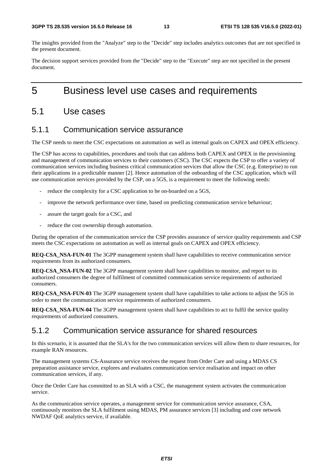The insights provided from the "Analyze" step to the "Decide" step includes analytics outcomes that are not specified in the present document.

The decision support services provided from the "Decide" step to the "Execute" step are not specified in the present document.

# 5 Business level use cases and requirements

### 5.1 Use cases

### 5.1.1 Communication service assurance

The CSP needs to meet the CSC expectations on automation as well as internal goals on CAPEX and OPEX efficiency.

The CSP has access to capabilities, procedures and tools that can address both CAPEX and OPEX in the provisioning and management of communication services to their customers (CSC). The CSC expects the CSP to offer a variety of communication services including business critical communication services that allow the CSC (e.g. Enterprise) to run their applications in a predictable manner [2]. Hence automation of the onboarding of the CSC application, which will use communication services provided by the CSP, on a 5GS, is a requirement to meet the following needs:

- reduce the complexity for a CSC application to be on-boarded on a 5GS,
- improve the network performance over time, based on predicting communication service behaviour;
- assure the target goals for a CSC, and
- reduce the cost ownership through automation.

During the operation of the communication service the CSP provides assurance of service quality requirements and CSP meets the CSC expectations on automation as well as internal goals on CAPEX and OPEX efficiency.

**REQ-CSA\_NSA-FUN-01** The 3GPP management system shall have capabilities to receive communication service requirements from its authorized consumers.

**REQ-CSA\_NSA-FUN-02** The 3GPP management system shall have capabilities to monitor, and report to its authorized consumers the degree of fulfilment of committed communication service requirements of authorized consumers.

**REO-CSA\_NSA-FUN-03** The 3GPP management system shall have capabilities to take actions to adjust the 5GS in order to meet the communication service requirements of authorized consumers.

**REQ-CSA\_NSA-FUN-04** The 3GPP management system shall have capabilities to act to fulfil the service quality requirements of authorized consumers.

### 5.1.2 Communication service assurance for shared resources

In this scenario, it is assumed that the SLA's for the two communication services will allow them to share resources, for example RAN resources.

The management systems CS-Assurance service receives the request from Order Care and using a MDAS CS preparation assistance service, explores and evaluates communication service realisation and impact on other communication services, if any.

Once the Order Care has committed to an SLA with a CSC, the management system activates the communication service.

As the communication service operates, a management service for communication service assurance, CSA, continuously monitors the SLA fulfilment using MDAS, PM assurance services [3] including and core network NWDAF QoE analytics service, if available.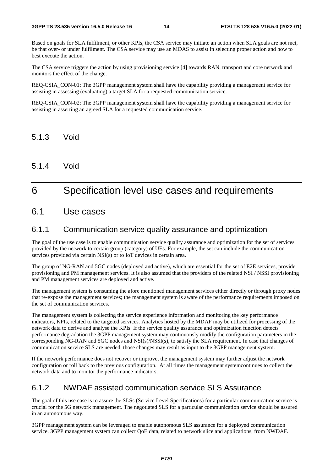Based on goals for SLA fulfilment, or other KPIs, the CSA service may initiate an action when SLA goals are not met, be that over- or under fulfilment. The CSA service may use an MDAS to assist in selecting proper action and how to best execute the action.

The CSA service triggers the action by using provisioning service [4] towards RAN, transport and core network and monitors the effect of the change.

REQ-CSIA\_CON-01: The 3GPP management system shall have the capability providing a management service for assisting in assessing (evaluating) a target SLA for a requested communication service.

REQ-CSIA\_CON-02: The 3GPP management system shall have the capability providing a management service for assisting in asserting an agreed SLA for a requested communication service.

- 5.1.3 Void
- 5.1.4 Void

# 6 Specification level use cases and requirements

6.1 Use cases

### 6.1.1 Communication service quality assurance and optimization

The goal of the use case is to enable communication service quality assurance and optimization for the set of services provided by the network to certain group (category) of UEs. For example, the set can include the communication services provided via certain NSI(s) or to IoT devices in certain area.

The group of NG-RAN and 5GC nodes (deployed and active), which are essential for the set of E2E services, provide provisioning and PM management services. It is also assumed that the providers of the related NSI / NSSI provisioning and PM management services are deployed and active.

The management system is consuming the afore mentioned management services either directly or through proxy nodes that re-expose the management services; the management system is aware of the performance requirements imposed on the set of communication services.

The management system is collecting the service experience information and monitoring the key performance indicators, KPIs, related to the targeted services. Analytics hosted by the MDAF may be utilized for processing of the network data to derive and analyse the KPIs. If the service quality assurance and optimization function detects performance degradation the 3GPP management system may continuously modify the configuration parameters in the corresponding NG-RAN and 5GC nodes and NSI(s)/NSSI(s), to satisfy the SLA requirement. In case that changes of communication service SLS are needed, those changes may result as input to the 3GPP management system.

If the network performance does not recover or improve, the management system may further adjust the network configuration or roll back to the previous configuration. At all times the management systemcontinues to collect the network data and to monitor the performance indicators.

### 6.1.2 NWDAF assisted communication service SLS Assurance

The goal of this use case is to assure the SLSs (Service Level Specifications) for a particular communication service is crucial for the 5G network management. The negotiated SLS for a particular communication service should be assured in an autonomous way.

3GPP management system can be leveraged to enable autonomous SLS assurance for a deployed communication service. 3GPP management system can collect QoE data, related to network slice and applications, from NWDAF.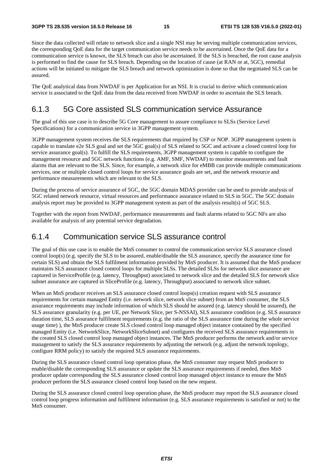Since the data collected will relate to network slice and a single NSI may be serving multiple communication services, the corresponding QoE data for the target communication service needs to be ascertained. Once the QoE data for a communication service is known, the SLS breach can also be ascertained. If the SLS is breached, the root cause analysis is performed to find the cause for SLS breach. Depending on the location of cause (at RAN or at, 5GC), remedial actions will be initiated to mitigate the SLS breach and network optimization is done so that the negotiated SLS can be assured.

The QoE analytical data from NWDAF is per Application for an NSI. It is crucial to derive which communication service is associated to the QoE data from the data received from NWDAF in order to ascertain the SLS breach.

### 6.1.3 5G Core assisted SLS communication service Assurance

The goal of this use case is to describe 5G Core management to assure compliance to SLSs (Service Level Specifications) for a communication service in 3GPP management system.

3GPP management system receives the SLS requirements that required by CSP or NOP. 3GPP management system is capable to translate e2e SLS goal and set the 5GC goal(s) of SLS related to 5GC and activate a closed control loop for service assurance goal(s). To fulfill the SLS requirements, 3GPP management system is capable to configure the management resource and 5GC network functions (e.g. AMF, SMF, NWDAF) to monitor measurements and fault alarms that are relevant to the SLS. Since, for example, a network slice for eMBB can provide multiple communications services, one or multiple closed control loops for service assurance goals are set, and the network resource and performance measurements which are relevant to the SLS.

During the process of service assurance of 5GC, the 5GC domain MDAS provider can be used to provide analysis of 5GC related network resource, virtual resources and performance assurance related to SLS in 5GC. The 5GC domain analysis report may be provided to 3GPP management system as part of the analysis result(s) of 5GC SLS.

Together with the report from NWDAF, performance measurements and fault alarms related to 5GC NFs are also available for analysis of any potential service degradation.

### 6.1.4 Communication service SLS assurance control

The goal of this use case is to enable the MnS consumer to control the communication service SLS assurance closed control loop(s) (e.g. specify the SLS to be assured, enable/disable the SLS assurance, specify the assurance time for certain SLS) and obtain the SLS fulfilment information provided by MnS producer. It is assumed that the MnS producer maintains SLS assurance closed control loops for multiple SLSs. The detailed SLSs for network slice assurance are captured in ServiceProfile (e.g. latency, Throughput) associated to network slice and the detailed SLS for network slice subnet assurance are captured in SliceProfile (e.g. latency, Throughput) associated to network slice subnet.

When an MnS producer receives an SLS assurance closed control loops(s) creation request with SLS assurance requirements for certain managed Entity (i.e. network slice, network slice subnet) from an MnS consumer, the SLS assurance requirements may include information of which SLS should be assured (e.g. latency should be assured), the SLS assurance granularity (e.g. per UE, per Network Slice, per S-NSSAI), SLS assurance condition (e.g. SLS assurance duration time, SLS assurance fulfilment requirements (e.g. the ratio of the SLS assurance time during the whole service usage time) ), the MnS producer create SLS closed control loop managed object instance contained by the specified managed Entity (i.e. NetworkSlice, NetworkSliceSubnet) and configures the received SLS assurance requirements in the created SLS closed control loop managed object instances. The MnS producer performs the network and/or service management to satisfy the SLS assurance requirements by adjusting the network (e.g. adjust the network topology, configure RRM policy) to satisfy the required SLS assurance requirements.

During the SLS assurance closed control loop operation phase, the MnS consumer may request MnS producer to enable/disable the corresponding SLS assurance or update the SLS assurance requirements if needed, then MnS producer update corresponding the SLS assurance closed control loop managed object instance to ensure the MnS producer perform the SLS assurance closed control loop based on the new request.

During the SLS assurance closed control loop operation phase, the MnS producer may report the SLS assurance closed control loop progress information and fulfilment information (e.g. SLS assurance requirements is satisfied or not) to the MnS consumer.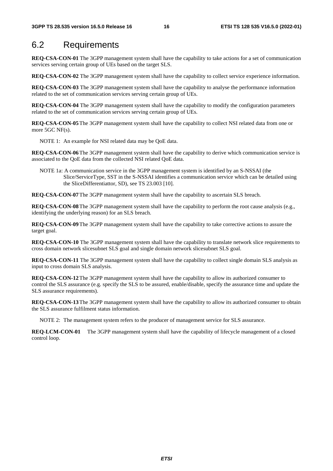# 6.2 Requirements

**REQ-CSA-CON-01** The 3GPP management system shall have the capability to take actions for a set of communication services serving certain group of UEs based on the target SLS.

**REQ-CSA-CON-02** The 3GPP management system shall have the capability to collect service experience information.

**REQ-CSA-CON-03** The 3GPP management system shall have the capability to analyse the performance information related to the set of communication services serving certain group of UEs.

**REQ-CSA-CON-04** The 3GPP management system shall have the capability to modify the configuration parameters related to the set of communication services serving certain group of UEs.

**REQ-CSA-CON-05** The 3GPP management system shall have the capability to collect NSI related data from one or more 5GC NF(s).

NOTE 1: An example for NSI related data may be QoE data.

**REQ-CSA-CON-06** The 3GPP management system shall have the capability to derive which communication service is associated to the QoE data from the collected NSI related QoE data.

NOTE 1a: A communication service in the 3GPP management system is identified by an S-NSSAI (the Slice/ServiceType, SST in the S-NSSAI identifies a communication service which can be detailed using the SliceDifferentiattor, SD), see TS 23.003 [10].

**REQ-CSA-CON-07** The 3GPP management system shall have the capability to ascertain SLS breach.

**REQ-CSA-CON-08** The 3GPP management system shall have the capability to perform the root cause analysis (e.g., identifying the underlying reason) for an SLS breach.

**REQ-CSA-CON-09** The 3GPP management system shall have the capability to take corrective actions to assure the target goal.

**REQ-CSA-CON-10** The 3GPP management system shall have the capability to translate network slice requirements to cross domain network slicesubnet SLS goal and single domain network slicesubnet SLS goal.

**REQ-CSA-CON-11** The 3GPP management system shall have the capability to collect single domain SLS analysis as input to cross domain SLS analysis.

**REQ-CSA-CON-12** The 3GPP management system shall have the capability to allow its authorized consumer to control the SLS assurance (e.g. specify the SLS to be assured, enable/disable, specify the assurance time and update the SLS assurance requirements).

**REQ-CSA-CON-13** The 3GPP management system shall have the capability to allow its authorized consumer to obtain the SLS assurance fulfilment status information.

NOTE 2: The management system refers to the producer of management service for SLS assurance.

**REQ-LCM-CON-01** The 3GPP management system shall have the capability of lifecycle management of a closed control loop.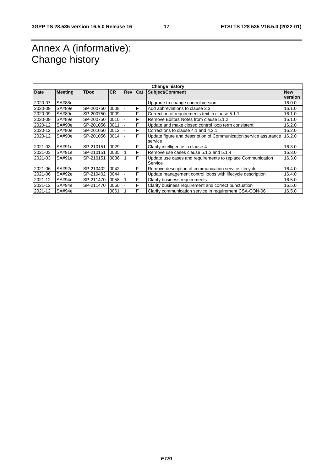# Annex A (informative): Change history

|         | <b>Change history</b> |                |           |            |     |                                                                  |            |
|---------|-----------------------|----------------|-----------|------------|-----|------------------------------------------------------------------|------------|
| Date    | <b>Meeting</b>        | <b>TDoc</b>    | <b>CR</b> | <b>Rev</b> | Cat | <b>Subject/Comment</b>                                           | <b>New</b> |
|         |                       |                |           |            |     |                                                                  | version    |
| 2020-07 | SA#88e                |                |           |            |     | Upgrade to change control version                                | 16.0.0     |
| 2020-09 | SA#89e                | SP-200750      | 0008      |            | F   | Add abbreviations to clause 3.3                                  | 16.1.0     |
| 2020-09 | SA#89e                | SP-200750      | 0009      |            | F   | Correction of requirements text in clause 5.1.1                  | 16.1.0     |
| 2020-09 | SA#89e                | SP-200750      | 0010      |            | F   | Remove Editors Notes from clause 5.1.2                           | 16.1.0     |
| 2020-12 | SA#90e                | SP-201056      | 0011      |            | F   | Update and make closed control loop term consistent              | 16.2.0     |
| 2020-12 | SA#90e                | SP-201050      | 0012      |            | F   | Corrections to clause 4.1 and 4.2.1                              | 16.2.0     |
| 2020-12 | SA#90e                | SP-201056 0014 |           |            | F   | Update figure and description of Communication service assurance | 16.2.0     |
|         |                       |                |           |            |     | service                                                          |            |
| 2021-03 | SA#91e                | SP-210151      | 0029      |            | F   | Clarify intelligence in clause 4                                 | 16.3.0     |
| 2021-03 | SA#91e                | SP-210151      | 0035      |            | F   | Remove use cases clause 5.1.3 and 5.1.4                          | 16.3.0     |
| 2021-03 | SA#91e                | SP-210151      | 0036      |            | F   | Update use cases and requirements to replace Communication       | 16.3.0     |
|         |                       |                |           |            |     | Service                                                          |            |
| 2021-06 | SA#92e                | SP-210402      | 0042      |            | F   | Remove description of communication service lifecycle            | 16.4.0     |
| 2021-06 | SA#92e                | SP-210402      | 0044      |            | F   | Update management control loops with lifecycle description       | 16.4.0     |
| 2021-12 | SA#94e                | SP-211470      | 0058      |            | F   | Clarify business requirements                                    | 16.5.0     |
| 2021-12 | SA#94e                | SP-211470      | 0060      |            | F   | Clarify business requirement and correct punctuation             | 16.5.0     |
| 2021-12 | SA#94e                |                | 0061      |            | F   | Clarify communication service in requirement CSA-CON-06          | 16.5.0     |